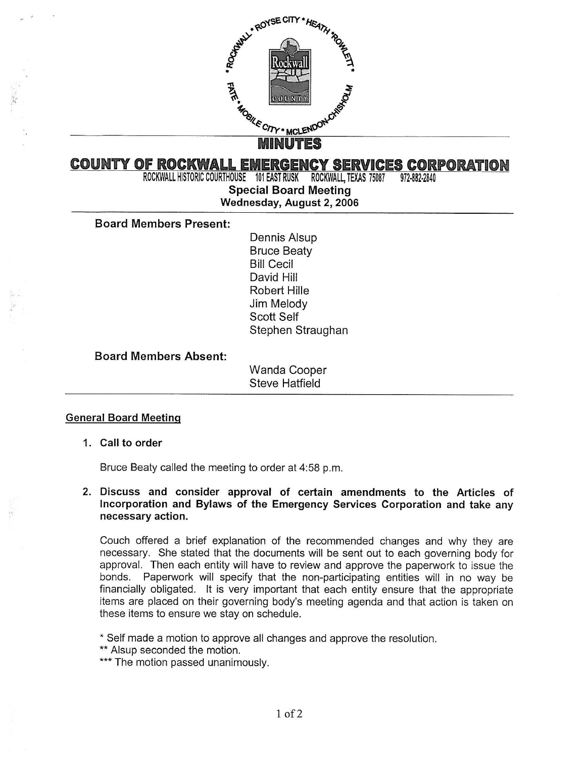

# **COUNTY OF ROCKWALL EMERGENCY SERVICES CORPORATION**<br>ROCKWALL HISTORIC COURTHOUSE 101 EAST RUSK ROCKWALL. TEXAS 75087 972-882-2840

ROCKWALL HISTORIC COURTHOUSE 101 EAST RUSK ROCKWALL, TEXAS 75087

Special Board Meeting

## Wednesday, August 2, 2006

#### Board Members Present:

Dennis Alsup Bruce Beaty Bill Cecil David Hill Robert HiIIe Jim Melody Scott Self Stephen Straughan

### Board Members Absent:

Wanda Cooper Steve Hatfield

#### General Board Meeting

#### 1. Call to order

Bruce Beaty called the meeting to order at 4:58 p.m.

#### 2. Discuss and consider approval of certain amendments to the Articles of Incorporation and Bylaws of the Emergency Services Corporation and take any necessary action.

Couch offered a brief explanation of the recommended changes and why they are necessary. She stated that the documents will be sent out to each governing body for approval. Then each entity will have to review and approve the paperwork to issue the bonds. Paperwork will specify that the non-participating entities will in no way be financially obligated. It is very important that each entity ensure that the appropriate items are placed on their governing body's meeting agenda and that action is taken on these items to ensure we stay on schedule.

Self made a motion to approve all changes and approve the resolution.

\*\* Alsup seconded the motion.

\*\*\* The motion passed unanimously.